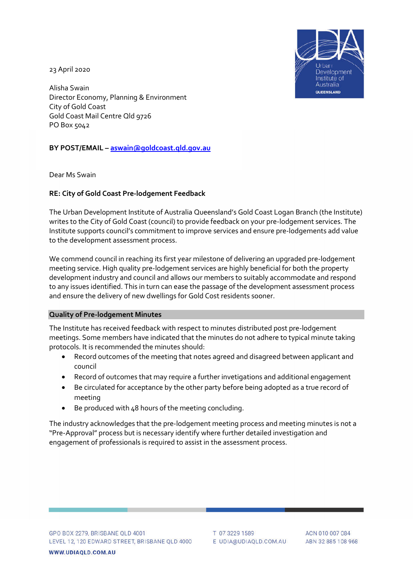Irban Development Institute of **Australia OUEENSLAND** 

23 April 2020

Alisha Swain Director Economy, Planning & Environment City of Gold Coast Gold Coast Mail Centre Qld 9726 PO Box 5042

**BY POST/EMAIL – aswain@goldcoast.qld.gov.au**

Dear Ms Swain

## **RE: City of Gold Coast Pre-lodgement Feedback**

The Urban Development Institute of Australia Queensland's Gold Coast Logan Branch (the Institute) writes to the City of Gold Coast (council) to provide feedback on your pre-lodgement services. The Institute supports council's commitment to improve services and ensure pre-lodgements add value to the development assessment process.

We commend council in reaching its first year milestone of delivering an upgraded pre-lodgement meeting service. High quality pre-lodgement services are highly beneficial for both the property development industry and council and allows our members to suitably accommodate and respond to any issues identified. This in turn can ease the passage of the development assessment process and ensure the delivery of new dwellings for Gold Cost residents sooner.

## **Quality of Pre-lodgement Minutes**

The Institute has received feedback with respect to minutes distributed post pre-lodgement meetings. Some members have indicated that the minutes do not adhere to typical minute taking protocols. It is recommended the minutes should:

- Record outcomes of the meeting that notes agreed and disagreed between applicant and council
- Record of outcomes that may require a further invetigations and additional engagement
- Be circulated for acceptance by the other party before being adopted as a true record of meeting
- Be produced with 48 hours of the meeting concluding.

The industry acknowledges that the pre-lodgement meeting process and meeting minutes is not a "Pre-Approval" process but is necessary identify where further detailed investigation and engagement of professionals is required to assist in the assessment process.

WWW.UDIAOLD.COM.AU

T 07 3229 1589 E UDIA@UDIAQLD.COM.AU

ACN 010 007 084 ABN 32 885 108 968